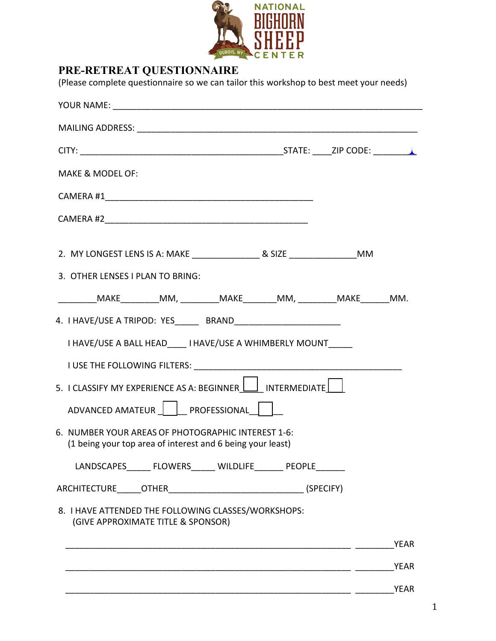

## **PRE-RETREAT QUESTIONNAIRE**

(Please complete questionnaire so we can tailor this workshop to best meet your needs)

| MAKE & MODEL OF:                 |                                                                                           |  |             |
|----------------------------------|-------------------------------------------------------------------------------------------|--|-------------|
|                                  |                                                                                           |  |             |
|                                  |                                                                                           |  |             |
|                                  |                                                                                           |  |             |
| 3. OTHER LENSES I PLAN TO BRING: |                                                                                           |  |             |
|                                  | __________MAKE__________MM, __________MAKE________MM, ___________MAKE________MM.          |  |             |
|                                  | 4. I HAVE/USE A TRIPOD: YES BRAND                                                         |  |             |
|                                  | I HAVE/USE A BALL HEAD I HAVE/USE A WHIMBERLY MOUNT                                       |  |             |
|                                  |                                                                                           |  |             |
|                                  | 5. I CLASSIFY MY EXPERIENCE AS A: BEGINNER I INTERMEDIATE                                 |  |             |
|                                  | ADVANCED AMATEUR     PROFESSIONAL                                                         |  |             |
|                                  | 6. NUMBER YOUR AREAS OF PHOTOGRAPHIC INTEREST 1-6:                                        |  |             |
|                                  | (1 being your top area of interest and 6 being your least)                                |  |             |
|                                  | LANDSCAPES FLOWERS WILDLIFE PEOPLE                                                        |  |             |
|                                  |                                                                                           |  |             |
|                                  | 8. I HAVE ATTENDED THE FOLLOWING CLASSES/WORKSHOPS:<br>(GIVE APPROXIMATE TITLE & SPONSOR) |  |             |
|                                  |                                                                                           |  | <b>YEAR</b> |